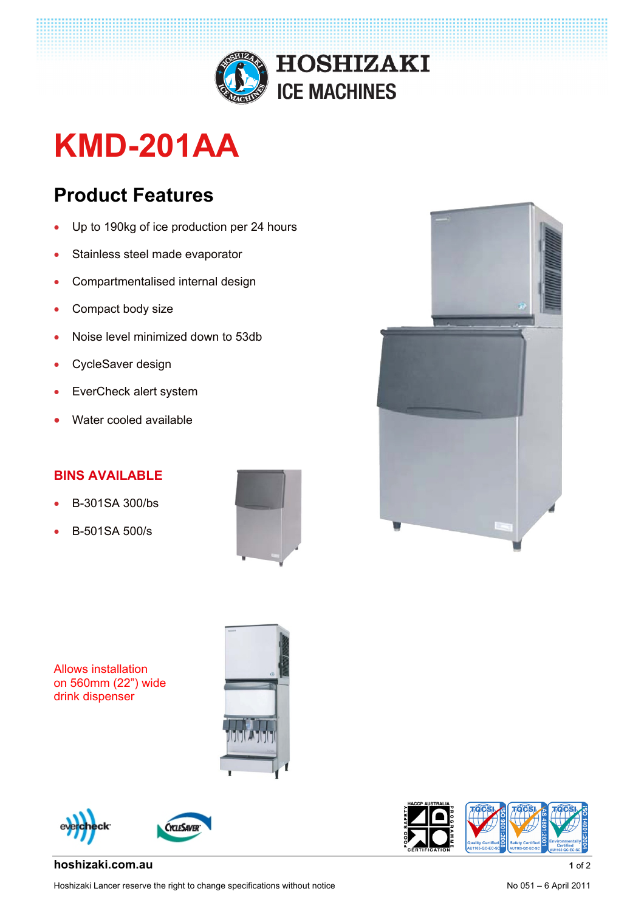

## **KMD-201AA**

## **Product Features**

- Up to 190kg of ice production per 24 hours
- Stainless steel made evaporator
- Compartmentalised internal design
- Compact body size
- Noise level minimized down to 53db
- CycleSaver design
- EverCheck alert system
- Water cooled available

## **BINS AVAILABLE**

- B-301SA 300/bs
- B-501SA 500/s



Allows installation on 560mm (22") wide drink dispenser